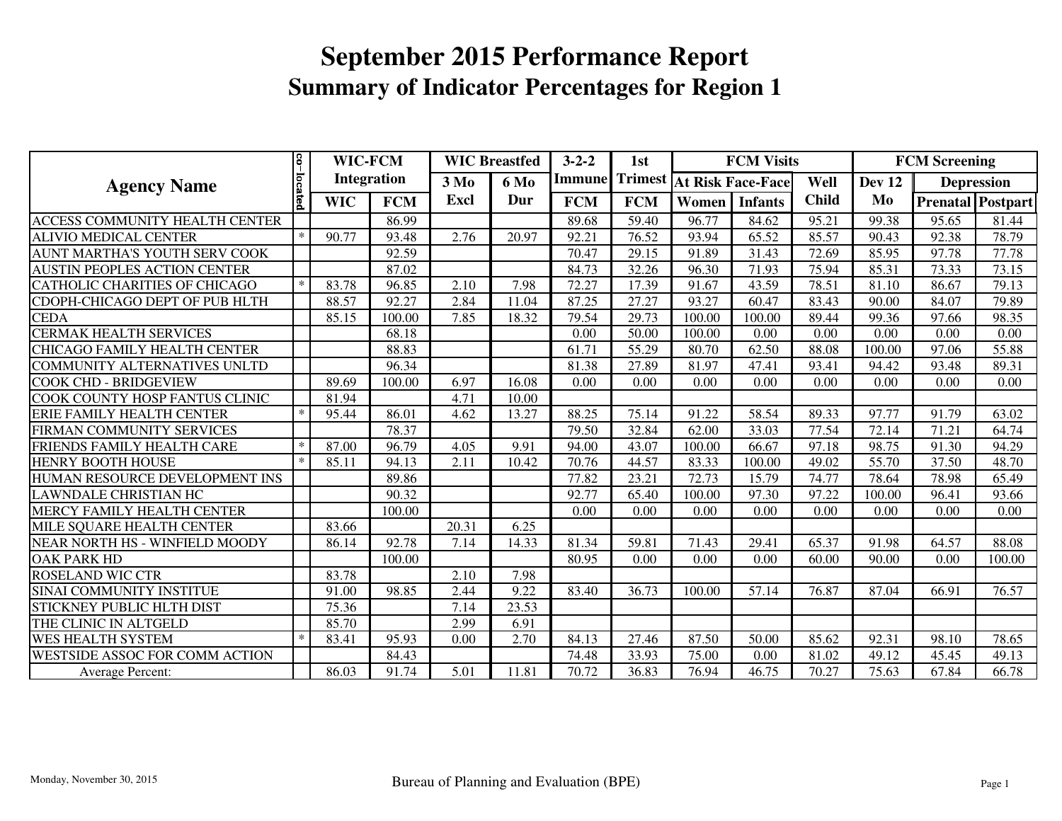|                                      |         | 8<br>WIC-FCM       |            | <b>WIC Breastfed</b> |             | $3 - 2 - 2$   | 1st        |        | <b>FCM Visits</b>                |              | <b>FCM Screening</b> |                   |        |  |
|--------------------------------------|---------|--------------------|------------|----------------------|-------------|---------------|------------|--------|----------------------------------|--------------|----------------------|-------------------|--------|--|
| <b>Agency Name</b>                   |         | <b>Integration</b> |            | 3 M <sub>0</sub>     | <b>6 Mo</b> | <b>Immune</b> |            |        | <b>Trimest At Risk Face-Face</b> | Well         | Dev 12               | <b>Depression</b> |        |  |
|                                      | located | <b>WIC</b>         | <b>FCM</b> | Excl                 | Dur         | <b>FCM</b>    | <b>FCM</b> | Women  | <b>Infants</b>                   | <b>Child</b> | Mo                   | Prenatal Postpart |        |  |
| ACCESS COMMUNITY HEALTH CENTER       |         |                    | 86.99      |                      |             | 89.68         | 59.40      | 96.77  | 84.62                            | 95.21        | 99.38                | 95.65             | 81.44  |  |
| <b>ALIVIO MEDICAL CENTER</b>         | $\ast$  | 90.77              | 93.48      | 2.76                 | 20.97       | 92.21         | 76.52      | 93.94  | 65.52                            | 85.57        | 90.43                | 92.38             | 78.79  |  |
| AUNT MARTHA'S YOUTH SERV COOK        |         |                    | 92.59      |                      |             | 70.47         | 29.15      | 91.89  | 31.43                            | 72.69        | 85.95                | 97.78             | 77.78  |  |
| <b>AUSTIN PEOPLES ACTION CENTER</b>  |         |                    | 87.02      |                      |             | 84.73         | 32.26      | 96.30  | 71.93                            | 75.94        | 85.31                | 73.33             | 73.15  |  |
| <b>CATHOLIC CHARITIES OF CHICAGO</b> | $\ast$  | 83.78              | 96.85      | 2.10                 | 7.98        | 72.27         | 17.39      | 91.67  | 43.59                            | 78.51        | 81.10                | 86.67             | 79.13  |  |
| CDOPH-CHICAGO DEPT OF PUB HLTH       |         | 88.57              | 92.27      | 2.84                 | 11.04       | 87.25         | 27.27      | 93.27  | 60.47                            | 83.43        | 90.00                | 84.07             | 79.89  |  |
| <b>CEDA</b>                          |         | 85.15              | 100.00     | 7.85                 | 18.32       | 79.54         | 29.73      | 100.00 | 100.00                           | 89.44        | 99.36                | 97.66             | 98.35  |  |
| <b>CERMAK HEALTH SERVICES</b>        |         |                    | 68.18      |                      |             | 0.00          | 50.00      | 100.00 | 0.00                             | 0.00         | 0.00                 | 0.00              | 0.00   |  |
| <b>CHICAGO FAMILY HEALTH CENTER</b>  |         |                    | 88.83      |                      |             | 61.71         | 55.29      | 80.70  | 62.50                            | 88.08        | 100.00               | 97.06             | 55.88  |  |
| COMMUNITY ALTERNATIVES UNLTD         |         |                    | 96.34      |                      |             | 81.38         | 27.89      | 81.97  | 47.41                            | 93.41        | 94.42                | 93.48             | 89.31  |  |
| <b>COOK CHD - BRIDGEVIEW</b>         |         | 89.69              | 100.00     | 6.97                 | 16.08       | 0.00          | 0.00       | 0.00   | 0.00                             | 0.00         | 0.00                 | 0.00              | 0.00   |  |
| COOK COUNTY HOSP FANTUS CLINIC       |         | 81.94              |            | 4.71                 | 10.00       |               |            |        |                                  |              |                      |                   |        |  |
| <b>ERIE FAMILY HEALTH CENTER</b>     | $\ast$  | 95.44              | 86.01      | 4.62                 | 13.27       | 88.25         | 75.14      | 91.22  | 58.54                            | 89.33        | 97.77                | 91.79             | 63.02  |  |
| FIRMAN COMMUNITY SERVICES            |         |                    | 78.37      |                      |             | 79.50         | 32.84      | 62.00  | 33.03                            | 77.54        | 72.14                | 71.21             | 64.74  |  |
| FRIENDS FAMILY HEALTH CARE           | $\ast$  | 87.00              | 96.79      | 4.05                 | 9.91        | 94.00         | 43.07      | 100.00 | 66.67                            | 97.18        | 98.75                | 91.30             | 94.29  |  |
| <b>HENRY BOOTH HOUSE</b>             | $\ast$  | 85.11              | 94.13      | 2.11                 | 10.42       | 70.76         | 44.57      | 83.33  | 100.00                           | 49.02        | 55.70                | 37.50             | 48.70  |  |
| HUMAN RESOURCE DEVELOPMENT INS       |         |                    | 89.86      |                      |             | 77.82         | 23.21      | 72.73  | 15.79                            | 74.77        | 78.64                | 78.98             | 65.49  |  |
| <b>LAWNDALE CHRISTIAN HC</b>         |         |                    | 90.32      |                      |             | 92.77         | 65.40      | 100.00 | 97.30                            | 97.22        | 100.00               | 96.41             | 93.66  |  |
| MERCY FAMILY HEALTH CENTER           |         |                    | 100.00     |                      |             | 0.00          | 0.00       | 0.00   | 0.00                             | 0.00         | 0.00                 | 0.00              | 0.00   |  |
| MILE SQUARE HEALTH CENTER            |         | 83.66              |            | 20.31                | 6.25        |               |            |        |                                  |              |                      |                   |        |  |
| NEAR NORTH HS - WINFIELD MOODY       |         | 86.14              | 92.78      | 7.14                 | 14.33       | 81.34         | 59.81      | 71.43  | 29.41                            | 65.37        | 91.98                | 64.57             | 88.08  |  |
| <b>OAK PARK HD</b>                   |         |                    | 100.00     |                      |             | 80.95         | 0.00       | 0.00   | 0.00                             | 60.00        | 90.00                | 0.00              | 100.00 |  |
| <b>ROSELAND WIC CTR</b>              |         | 83.78              |            | 2.10                 | 7.98        |               |            |        |                                  |              |                      |                   |        |  |
| SINAI COMMUNITY INSTITUE             |         | 91.00              | 98.85      | 2.44                 | 9.22        | 83.40         | 36.73      | 100.00 | 57.14                            | 76.87        | 87.04                | 66.91             | 76.57  |  |
| <b>STICKNEY PUBLIC HLTH DIST</b>     |         | 75.36              |            | 7.14                 | 23.53       |               |            |        |                                  |              |                      |                   |        |  |
| THE CLINIC IN ALTGELD                |         | 85.70              |            | 2.99                 | 6.91        |               |            |        |                                  |              |                      |                   |        |  |
| <b>WES HEALTH SYSTEM</b>             | $\ast$  | 83.41              | 95.93      | 0.00                 | 2.70        | 84.13         | 27.46      | 87.50  | 50.00                            | 85.62        | 92.31                | 98.10             | 78.65  |  |
| WESTSIDE ASSOC FOR COMM ACTION       |         |                    | 84.43      |                      |             | 74.48         | 33.93      | 75.00  | 0.00                             | 81.02        | 49.12                | 45.45             | 49.13  |  |
| Average Percent:                     |         | 86.03              | 91.74      | 5.01                 | 11.81       | 70.72         | 36.83      | 76.94  | 46.75                            | 70.27        | 75.63                | 67.84             | 66.78  |  |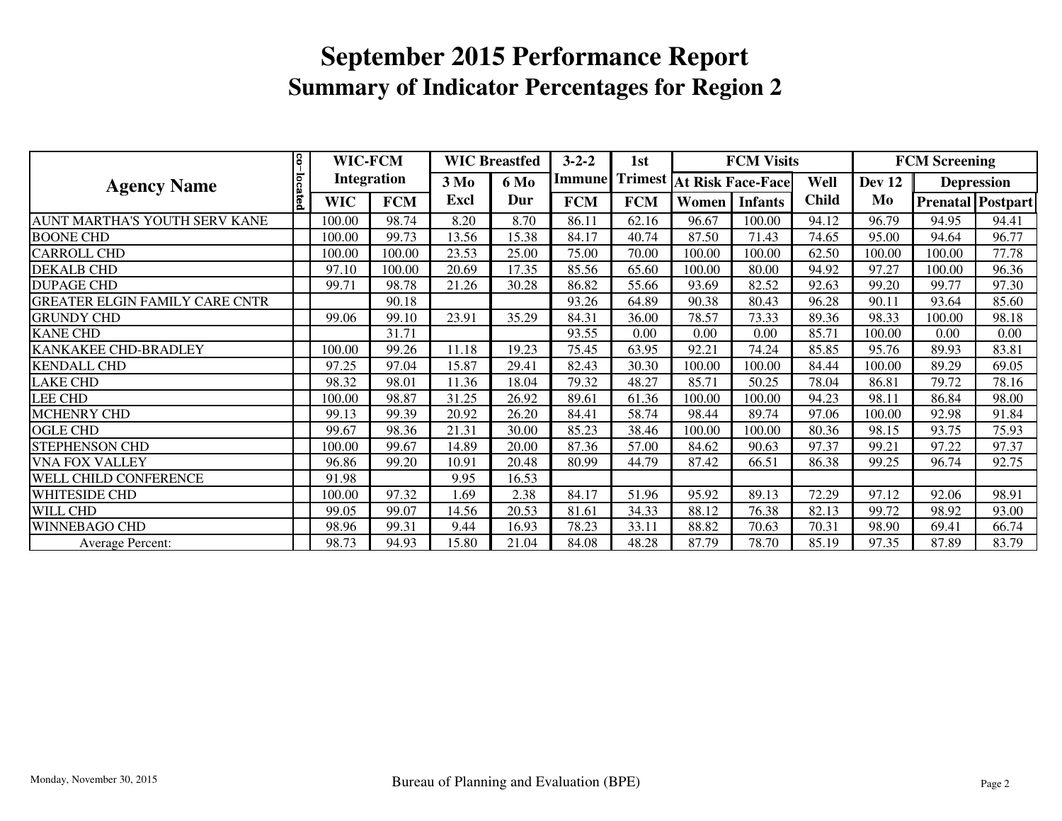|                                       | S.      | WIC-FCM            |            | <b>WIC Breastfed</b>            |       | $3 - 2 - 2$ | 1st        |                                         | <b>FCM Visits</b> |              | <b>FCM Screening</b> |        |                          |
|---------------------------------------|---------|--------------------|------------|---------------------------------|-------|-------------|------------|-----------------------------------------|-------------------|--------------|----------------------|--------|--------------------------|
| <b>Agency Name</b>                    |         | <b>Integration</b> |            | 3 M <sub>0</sub><br><b>6 Mo</b> |       |             |            | <b>Immune</b> Trimest At Risk Face-Face |                   | Well         | Dev 12               |        | <b>Depression</b>        |
|                                       | located | <b>WIC</b>         | <b>FCM</b> | Excl                            | Dur   | <b>FCM</b>  | <b>FCM</b> | Women                                   | <b>Infants</b>    | <b>Child</b> | Mo                   |        | <b>Prenatal Postpart</b> |
| AUNT MARTHA'S YOUTH SERV KANE         |         | 100.00             | 98.74      | 8.20                            | 8.70  | 86.11       | 62.16      | 96.67                                   | 100.00            | 94.12        | 96.79                | 94.95  | 94.41                    |
| <b>BOONE CHD</b>                      |         | 100.00             | 99.73      | 13.56                           | 15.38 | 84.17       | 40.74      | 87.50                                   | 71.43             | 74.65        | 95.00                | 94.64  | 96.77                    |
| <b>CARROLL CHD</b>                    |         | 100.00             | 100.00     | 23.53                           | 25.00 | 75.00       | 70.00      | 100.00                                  | 100.00            | 62.50        | 100.00               | 100.00 | 77.78                    |
| <b>DEKALB CHD</b>                     |         | 97.10              | 100.00     | 20.69                           | 17.35 | 85.56       | 65.60      | 100.00                                  | 80.00             | 94.92        | 97.27                | 100.00 | 96.36                    |
| <b>DUPAGE CHD</b>                     |         | 99.71              | 98.78      | 21.26                           | 30.28 | 86.82       | 55.66      | 93.69                                   | 82.52             | 92.63        | 99.20                | 99.77  | 97.30                    |
| <b>GREATER ELGIN FAMILY CARE CNTR</b> |         |                    | 90.18      |                                 |       | 93.26       | 64.89      | 90.38                                   | 80.43             | 96.28        | 90.11                | 93.64  | 85.60                    |
| <b>GRUNDY CHD</b>                     |         | 99.06              | 99.10      | 23.91                           | 35.29 | 84.31       | 36.00      | 78.57                                   | 73.33             | 89.36        | 98.33                | 100.00 | 98.18                    |
| <b>KANE CHD</b>                       |         |                    | 31.71      |                                 |       | 93.55       | 0.00       | 0.00                                    | 0.00              | 85.71        | 100.00               | 0.00   | 0.00                     |
| <b>KANKAKEE CHD-BRADLEY</b>           |         | 100.00             | 99.26      | 11.18                           | 19.23 | 75.45       | 63.95      | 92.21                                   | 74.24             | 85.85        | 95.76                | 89.93  | 83.81                    |
| <b>KENDALL CHD</b>                    |         | 97.25              | 97.04      | 15.87                           | 29.41 | 82.43       | 30.30      | 100.00                                  | 100.00            | 84.44        | 100.00               | 89.29  | 69.05                    |
| <b>LAKE CHD</b>                       |         | 98.32              | 98.01      | 11.36                           | 18.04 | 79.32       | 48.27      | 85.71                                   | 50.25             | 78.04        | 86.81                | 79.72  | 78.16                    |
| <b>LEE CHD</b>                        |         | 100.00             | 98.87      | 31.25                           | 26.92 | 89.61       | 61.36      | 100.00                                  | 100.00            | 94.23        | 98.11                | 86.84  | 98.00                    |
| <b>MCHENRY CHD</b>                    |         | 99.13              | 99.39      | 20.92                           | 26.20 | 84.41       | 58.74      | 98.44                                   | 89.74             | 97.06        | 100.00               | 92.98  | 91.84                    |
| <b>OGLE CHD</b>                       |         | 99.67              | 98.36      | 21.31                           | 30.00 | 85.23       | 38.46      | 100.00                                  | 100.00            | 80.36        | 98.15                | 93.75  | 75.93                    |
| <b>STEPHENSON CHD</b>                 |         | 100.00             | 99.67      | 14.89                           | 20.00 | 87.36       | 57.00      | 84.62                                   | 90.63             | 97.37        | 99.21                | 97.22  | 97.37                    |
| <b>VNA FOX VALLEY</b>                 |         | 96.86              | 99.20      | 10.91                           | 20.48 | 80.99       | 44.79      | 87.42                                   | 66.51             | 86.38        | 99.25                | 96.74  | 92.75                    |
| <b>WELL CHILD CONFERENCE</b>          |         | 91.98              |            | 9.95                            | 16.53 |             |            |                                         |                   |              |                      |        |                          |
| <b>WHITESIDE CHD</b>                  |         | 100.00             | 97.32      | .69                             | 2.38  | 84.17       | 51.96      | 95.92                                   | 89.13             | 72.29        | 97.12                | 92.06  | 98.91                    |
| WILL CHD                              |         | 99.05              | 99.07      | 14.56                           | 20.53 | 81.61       | 34.33      | 88.12                                   | 76.38             | 82.13        | 99.72                | 98.92  | 93.00                    |
| <b>WINNEBAGO CHD</b>                  |         | 98.96              | 99.31      | 9.44                            | 16.93 | 78.23       | 33.11      | 88.82                                   | 70.63             | 70.31        | 98.90                | 69.41  | 66.74                    |
| <b>Average Percent:</b>               |         | 98.73              | 94.93      | 15.80                           | 21.04 | 84.08       | 48.28      | 87.79                                   | 78.70             | 85.19        | 97.35                | 87.89  | 83.79                    |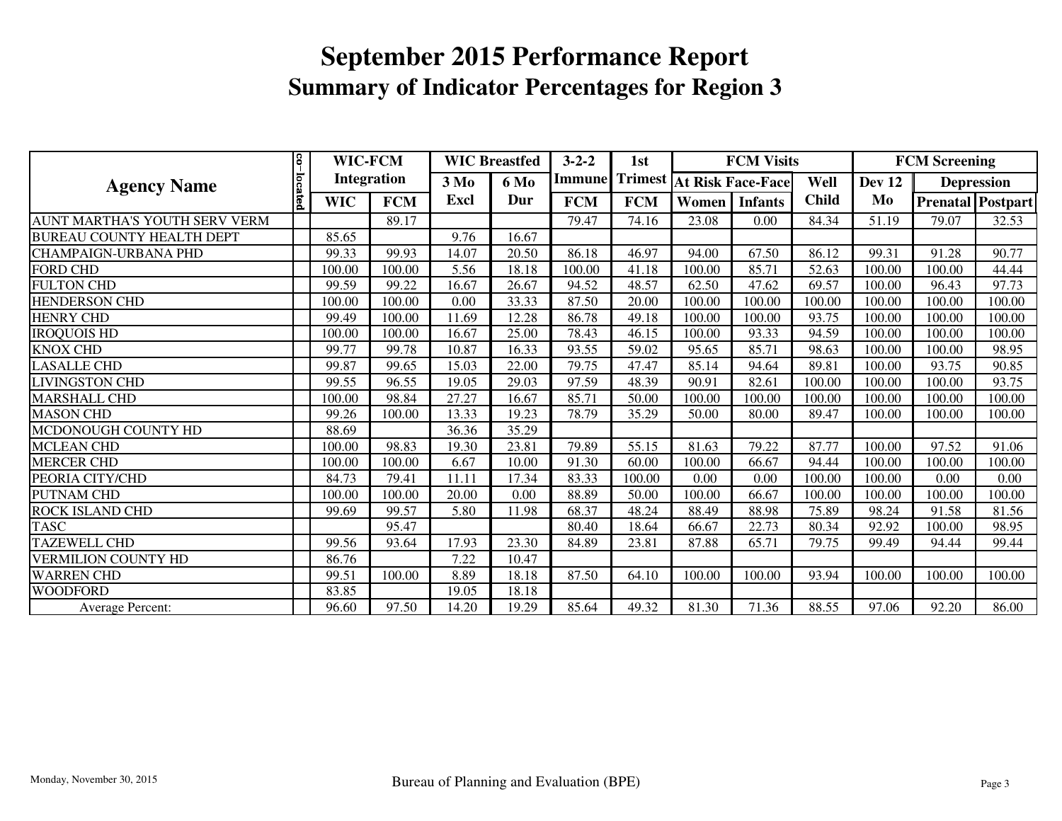| <b>Agency Name</b>                   |         | 8 <br>WIC-FCM<br><b>Integration</b> |            |             | <b>WIC Breastfed</b> | $3 - 2 - 2$ | 1st            |                          | <b>FCM Visits</b> |              | <b>FCM Screening</b> |        |                          |
|--------------------------------------|---------|-------------------------------------|------------|-------------|----------------------|-------------|----------------|--------------------------|-------------------|--------------|----------------------|--------|--------------------------|
|                                      |         |                                     |            | $3\,M0$     | 6 Mo                 | Immunel     | <b>Trimest</b> | <b>At Risk Face-Face</b> |                   | Well         | Dev 12               |        | <b>Depression</b>        |
|                                      | located | <b>WIC</b>                          | <b>FCM</b> | <b>Excl</b> | Dur                  | <b>FCM</b>  | <b>FCM</b>     | Women                    | <b>Infants</b>    | <b>Child</b> | Mo                   |        | <b>Prenatal</b> Postpart |
| <b>AUNT MARTHA'S YOUTH SERV VERM</b> |         |                                     | 89.17      |             |                      | 79.47       | 74.16          | 23.08                    | 0.00              | 84.34        | 51.19                | 79.07  | 32.53                    |
| <b>BUREAU COUNTY HEALTH DEPT</b>     |         | 85.65                               |            | 9.76        | 16.67                |             |                |                          |                   |              |                      |        |                          |
| <b>CHAMPAIGN-URBANA PHD</b>          |         | 99.33                               | 99.93      | 14.07       | 20.50                | 86.18       | 46.97          | 94.00                    | 67.50             | 86.12        | 99.31                | 91.28  | 90.77                    |
| <b>FORD CHD</b>                      |         | 100.00                              | 100.00     | 5.56        | 18.18                | 100.00      | 41.18          | 100.00                   | 85.71             | 52.63        | 100.00               | 100.00 | 44.44                    |
| <b>FULTON CHD</b>                    |         | 99.59                               | 99.22      | 16.67       | 26.67                | 94.52       | 48.57          | 62.50                    | 47.62             | 69.57        | 100.00               | 96.43  | 97.73                    |
| <b>HENDERSON CHD</b>                 |         | 100.00                              | 100.00     | 0.00        | 33.33                | 87.50       | 20.00          | 100.00                   | 100.00            | 100.00       | 100.00               | 100.00 | 100.00                   |
| <b>HENRY CHD</b>                     |         | 99.49                               | 100.00     | 11.69       | 12.28                | 86.78       | 49.18          | 100.00                   | 100.00            | 93.75        | 100.00               | 100.00 | 100.00                   |
| <b>IROQUOIS HD</b>                   |         | 100.00                              | 100.00     | 16.67       | 25.00                | 78.43       | 46.15          | 100.00                   | 93.33             | 94.59        | 100.00               | 100.00 | 100.00                   |
| <b>KNOX CHD</b>                      |         | 99.77                               | 99.78      | 10.87       | 16.33                | 93.55       | 59.02          | 95.65                    | 85.71             | 98.63        | 100.00               | 100.00 | 98.95                    |
| <b>LASALLE CHD</b>                   |         | 99.87                               | 99.65      | 15.03       | 22.00                | 79.75       | 47.47          | 85.14                    | 94.64             | 89.81        | 100.00               | 93.75  | 90.85                    |
| <b>LIVINGSTON CHD</b>                |         | 99.55                               | 96.55      | 19.05       | 29.03                | 97.59       | 48.39          | 90.91                    | 82.61             | 100.00       | 100.00               | 100.00 | 93.75                    |
| <b>MARSHALL CHD</b>                  |         | 100.00                              | 98.84      | 27.27       | 16.67                | 85.71       | 50.00          | 100.00                   | 100.00            | 100.00       | 100.00               | 100.00 | 100.00                   |
| <b>MASON CHD</b>                     |         | 99.26                               | 100.00     | 13.33       | 19.23                | 78.79       | 35.29          | 50.00                    | 80.00             | 89.47        | 100.00               | 100.00 | 100.00                   |
| MCDONOUGH COUNTY HD                  |         | 88.69                               |            | 36.36       | 35.29                |             |                |                          |                   |              |                      |        |                          |
| <b>MCLEAN CHD</b>                    |         | 100.00                              | 98.83      | 19.30       | 23.81                | 79.89       | 55.15          | 81.63                    | 79.22             | 87.77        | 100.00               | 97.52  | 91.06                    |
| <b>MERCER CHD</b>                    |         | 100.00                              | 100.00     | 6.67        | 10.00                | 91.30       | 60.00          | 100.00                   | 66.67             | 94.44        | 100.00               | 100.00 | 100.00                   |
| PEORIA CITY/CHD                      |         | 84.73                               | 79.41      | 11.11       | 17.34                | 83.33       | 100.00         | 0.00                     | 0.00              | 100.00       | 100.00               | 0.00   | 0.00                     |
| <b>PUTNAM CHD</b>                    |         | 100.00                              | 100.00     | 20.00       | 0.00                 | 88.89       | 50.00          | 100.00                   | 66.67             | 100.00       | 100.00               | 100.00 | 100.00                   |
| ROCK ISLAND CHD                      |         | 99.69                               | 99.57      | 5.80        | 11.98                | 68.37       | 48.24          | 88.49                    | 88.98             | 75.89        | 98.24                | 91.58  | 81.56                    |
| <b>TASC</b>                          |         |                                     | 95.47      |             |                      | 80.40       | 18.64          | 66.67                    | 22.73             | 80.34        | 92.92                | 100.00 | 98.95                    |
| <b>TAZEWELL CHD</b>                  |         | 99.56                               | 93.64      | 17.93       | 23.30                | 84.89       | 23.81          | 87.88                    | 65.71             | 79.75        | 99.49                | 94.44  | 99.44                    |
| <b>VERMILION COUNTY HD</b>           |         | 86.76                               |            | 7.22        | 10.47                |             |                |                          |                   |              |                      |        |                          |
| <b>WARREN CHD</b>                    |         | 99.51                               | 100.00     | 8.89        | 18.18                | 87.50       | 64.10          | 100.00                   | 100.00            | 93.94        | 100.00               | 100.00 | 100.00                   |
| <b>WOODFORD</b>                      |         | 83.85                               |            | 19.05       | 18.18                |             |                |                          |                   |              |                      |        |                          |
| Average Percent:                     |         | 96.60                               | 97.50      | 14.20       | 19.29                | 85.64       | 49.32          | 81.30                    | 71.36             | 88.55        | 97.06                | 92.20  | 86.00                    |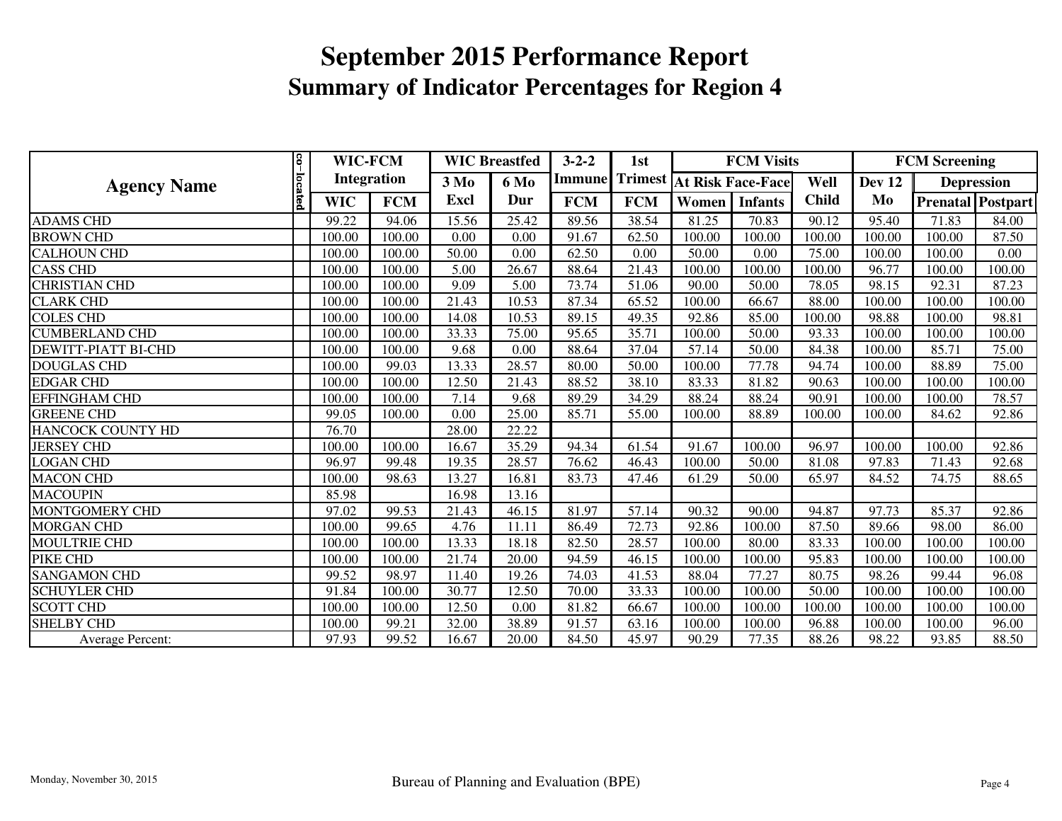| <b>Agency Name</b>         |               | WIC-FCM<br><b>Integration</b> |            | <b>WIC Breastfed</b> |             | $3 - 2 - 2$ | 1st        |        | <b>FCM Visits</b>                |              | <b>FCM Screening</b> |                   |                   |
|----------------------------|---------------|-------------------------------|------------|----------------------|-------------|-------------|------------|--------|----------------------------------|--------------|----------------------|-------------------|-------------------|
|                            |               |                               |            | $3\mathrm{Mo}$       | <b>6 Mo</b> | Immune      |            |        | <b>Trimest At Risk Face-Face</b> | Well         | Dev 12               | <b>Depression</b> |                   |
|                            | $\frac{1}{2}$ | <b>WIC</b>                    | <b>FCM</b> | Excl                 | Dur         | <b>FCM</b>  | <b>FCM</b> | Women  | <b>Infants</b>                   | <b>Child</b> | Mo                   |                   | Prenatal Postpart |
| <b>ADAMS CHD</b>           |               | 99.22                         | 94.06      | 15.56                | 25.42       | 89.56       | 38.54      | 81.25  | 70.83                            | 90.12        | 95.40                | 71.83             | 84.00             |
| <b>BROWN CHD</b>           |               | 100.00                        | 100.00     | 0.00                 | 0.00        | 91.67       | 62.50      | 100.00 | 100.00                           | 100.00       | 100.00               | 100.00            | 87.50             |
| <b>CALHOUN CHD</b>         |               | 100.00                        | 100.00     | 50.00                | 0.00        | 62.50       | 0.00       | 50.00  | 0.00                             | 75.00        | 100.00               | 100.00            | 0.00              |
| <b>CASS CHD</b>            |               | 100.00                        | 100.00     | 5.00                 | 26.67       | 88.64       | 21.43      | 100.00 | 100.00                           | 100.00       | 96.77                | 100.00            | 100.00            |
| <b>CHRISTIAN CHD</b>       |               | 100.00                        | 100.00     | 9.09                 | 5.00        | 73.74       | 51.06      | 90.00  | 50.00                            | 78.05        | 98.15                | 92.31             | 87.23             |
| <b>CLARK CHD</b>           |               | 100.00                        | 100.00     | 21.43                | 10.53       | 87.34       | 65.52      | 100.00 | 66.67                            | 88.00        | 100.00               | 100.00            | 100.00            |
| <b>COLES CHD</b>           |               | 100.00                        | 100.00     | 14.08                | 10.53       | 89.15       | 49.35      | 92.86  | 85.00                            | 100.00       | 98.88                | 100.00            | 98.81             |
| <b>CUMBERLAND CHD</b>      |               | 100.00                        | 100.00     | 33.33                | 75.00       | 95.65       | 35.71      | 100.00 | 50.00                            | 93.33        | 100.00               | 100.00            | 100.00            |
| <b>DEWITT-PIATT BI-CHD</b> |               | 100.00                        | 100.00     | 9.68                 | 0.00        | 88.64       | 37.04      | 57.14  | 50.00                            | 84.38        | 100.00               | 85.71             | 75.00             |
| <b>DOUGLAS CHD</b>         |               | 100.00                        | 99.03      | 13.33                | 28.57       | 80.00       | 50.00      | 100.00 | 77.78                            | 94.74        | 100.00               | 88.89             | 75.00             |
| <b>EDGAR CHD</b>           |               | 100.00                        | 100.00     | 12.50                | 21.43       | 88.52       | 38.10      | 83.33  | 81.82                            | 90.63        | 100.00               | 100.00            | 100.00            |
| <b>EFFINGHAM CHD</b>       |               | 100.00                        | 100.00     | 7.14                 | 9.68        | 89.29       | 34.29      | 88.24  | 88.24                            | 90.91        | 100.00               | 100.00            | 78.57             |
| <b>GREENE CHD</b>          |               | 99.05                         | 100.00     | 0.00                 | 25.00       | 85.71       | 55.00      | 100.00 | 88.89                            | 100.00       | 100.00               | 84.62             | 92.86             |
| HANCOCK COUNTY HD          |               | 76.70                         |            | 28.00                | 22.22       |             |            |        |                                  |              |                      |                   |                   |
| <b>JERSEY CHD</b>          |               | 100.00                        | 100.00     | 16.67                | 35.29       | 94.34       | 61.54      | 91.67  | 100.00                           | 96.97        | 100.00               | 100.00            | 92.86             |
| <b>LOGAN CHD</b>           |               | 96.97                         | 99.48      | 19.35                | 28.57       | 76.62       | 46.43      | 100.00 | 50.00                            | 81.08        | 97.83                | 71.43             | 92.68             |
| <b>MACON CHD</b>           |               | 100.00                        | 98.63      | 13.27                | 16.81       | 83.73       | 47.46      | 61.29  | 50.00                            | 65.97        | 84.52                | 74.75             | 88.65             |
| <b>MACOUPIN</b>            |               | 85.98                         |            | 16.98                | 13.16       |             |            |        |                                  |              |                      |                   |                   |
| MONTGOMERY CHD             |               | 97.02                         | 99.53      | 21.43                | 46.15       | 81.97       | 57.14      | 90.32  | 90.00                            | 94.87        | 97.73                | 85.37             | 92.86             |
| <b>MORGAN CHD</b>          |               | 100.00                        | 99.65      | 4.76                 | 11.11       | 86.49       | 72.73      | 92.86  | 100.00                           | 87.50        | 89.66                | 98.00             | 86.00             |
| MOULTRIE CHD               |               | 100.00                        | 100.00     | 13.33                | 18.18       | 82.50       | 28.57      | 100.00 | 80.00                            | 83.33        | 100.00               | 100.00            | 100.00            |
| PIKE CHD                   |               | 100.00                        | 100.00     | 21.74                | 20.00       | 94.59       | 46.15      | 100.00 | 100.00                           | 95.83        | 100.00               | 100.00            | 100.00            |
| <b>SANGAMON CHD</b>        |               | 99.52                         | 98.97      | 11.40                | 19.26       | 74.03       | 41.53      | 88.04  | 77.27                            | 80.75        | 98.26                | 99.44             | 96.08             |
| <b>SCHUYLER CHD</b>        |               | 91.84                         | 100.00     | 30.77                | 12.50       | 70.00       | 33.33      | 100.00 | 100.00                           | 50.00        | 100.00               | 100.00            | 100.00            |
| <b>SCOTT CHD</b>           |               | 100.00                        | 100.00     | 12.50                | 0.00        | 81.82       | 66.67      | 100.00 | 100.00                           | 100.00       | 100.00               | 100.00            | 100.00            |
| <b>SHELBY CHD</b>          |               | 100.00                        | 99.21      | 32.00                | 38.89       | 91.57       | 63.16      | 100.00 | 100.00                           | 96.88        | 100.00               | 100.00            | 96.00             |
| <b>Average Percent:</b>    |               | 97.93                         | 99.52      | 16.67                | 20.00       | 84.50       | 45.97      | 90.29  | 77.35                            | 88.26        | 98.22                | 93.85             | 88.50             |